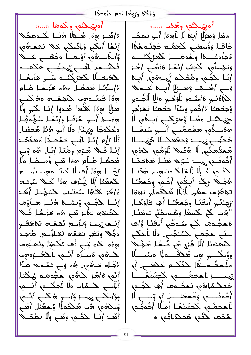وَلِمَكُمْ وَوَهُمَا شَهِ حَزْهِجَهَا

أەبىكشە وكمكر 18.9.17 ة/هَٰــز هِهُ| هَـــجلًا هُـُــا گـــمحَـكـلا إِنْمًا أَسْلَمِ وَلِمُنَكَّبِ كَلا تَجْمَعُومِ وَّاكِلُمْـــوَّە ﴾ ٱوَّـصْــا ەجْھَـــ كَـــلا ثُمْلُـــمَه , الْأَوْـــمِ يُحِبُّوبِ هِــْلَمِــْهِ لحقحا لمحتكم منب فأحكا هْ ُ مِنَّنَـٰ اللَّهُ مِنَّهُ مِنَّمَـٰ اللَّهُ الْمَلَمُونَّ هجُلًا هِهُا كَلَاهُا هُـوَهِا إِسُا كُـبِ وَلَّا هِهَـــــمِ أَســـرٍ ـهُـرْكُــا وإلـُهُــا مُـهْـوڤــا مْكُكْحْا يْكْرَا هْلَا أُمِرٍ هُنَا هُجِعًا. أَلَّا رُأْمِ إِنَـا لَمْوَى حَكَمَـٰهُا هَعَدَهُـ: إِسًا شَكَّلَ هُـْءِم وِهُنَّا إِسًا. هُه وْب هُجعُـا هُـأم وهُا هَـ وُْمَـعُـا هَلَا رُجْمِهِ أَوْهُمْ أَهْدِ لَٰهُ كَمِنَّــوِيهِ بِنُوَـــو كَعْكَمُا ٱلْلَّ لُيُّتَوْفِ وَوَٰذَا كَمَلاً مُبْتِدَة ەُ/هُد ݣْلْالْغَا مْدَسّْس ݣْسْلْهَدْا. أَهْدَ إِنَّا لِحَقِّــهِ وَسَبَّدِ هُنَّـا هــأَوَّم للجُنآه مُمَّنز هُم هُو قنُعُما ثُلا إِنَّــم يُحِـــز وَّلزَّــــم تَـجـمَـــه لَــلاَهَــَـب ەبَّىْلا وِنَـْشِر نَـْجِـمْـْهِ نَـْمَلَوْسِــمْ. هَٰٓزَجـِـهِ ۞هُ٥ ڷۮ٥ وٕٓٛٮؠ۩ؗ۠ڢ؉۫ٛۮۄۥٟٓٛٳ؋ڷڡۥۘ۬ٛ٥ڢ لَهُ مَعْلَمَ أَنَّـمٍ لَمَكْمَّبِمِ مِنْ هُجُمَاه حَدةٌ مِ, قُه فِي تَعْدِيهِ هَـٰهُ! أَنَّهِ وَاهَٰ: لَحِقُهِ مِجْمَعِدِ لِكُنَّا أَبْلَـــــ حَـــدُا الْمَكْـــــــــم أَنَـــــم وَوَّاسْكُمْ يْحَمَّ وَّاسِرٍ هُكُمْ أَنَّ مِنْكُمْ وَّىـدْهُ٥، هُـد هُـدْشُه ا وَحْمَدُا أُهُـم أَهَٰـ: )ِنُـا لِكُمُـه وَهَٰــ وَلَا نَفَضْلًا

 $\sim$  6.5.15 مككو وهْكس 6.5.15 ِ هِ مَا وَجِدَالِ أَبِيْدِ لَا £16% أُمِنِ نُبْعَضُ دَٰاقَا ووُسعَی کَعمَٰع دَٰجِنُہ مُ\$ا هَجَاهَـُــــجُل وَحْمَهِ صَــــــــل كَعْرَجُكَــــــم وَتَجْمَعْنُومِ ۖ كَلَّحِنُّكُ ۖ إِنُّهُمَا ۚ ةَاهُمْمِ ۖ أُهُد: إِسًا حَجَّمٍ وَهَتْحَدُ لَيْ رَوْهُمِ. أَبْدَ وْبٍ أَهَدِهِ وَمُسْئِلًا أَبْدَ نُحْسَمُ َـكَبُّادُـُـبِ هَامِنٌــدِهِ ۖ ـأَوَكَــبِ وَزَلًا لَاجُــدِبِ وَٚجِجْعِمُا ۚ وَٱجُمِہٖ وِمُآا حَجَّعِمُا نَعِزَكُب فَيْحِكْمِ وَهُمِا وَمِحْرَجْمٍ ابْتُوهِ لَا هؤستأه مجعفي أسبر منبقا المشرية المكعفعة فسرع وسأعف تَعْمَلُاهِكُمْ. لَا شُجَّىلا ۚ أَوَّهُمْ ۖ لِأَشْهَارِ أَجْمِعْيَمِ رَبِّيمٍ مَنْكُمْ مِنْ الْمَدَّوَمِينَ مِنْ الْمَدَّوَمِينَ مِنْ الْمَدَّوِينَ مِنْ الْ لِحُمْمٍ كَبِرُلَا غُمْلِكُوسُومٍ. وُكِّسُا هُجُىلاً رَبِّكُمْ أَبِنُمُوا أَجُّمٍ وَجَعِفَنَا ۖ لَجْهَبُم مِعْبِ ۚ أَآٰ إِلَّا مَٰحَثُمْ لِٰٓ رُوءَا أَرْحِنْنُـبِ أَمثَنُـلاً وِجُـعفَنْـل أُڢ خَاوْحُـل هَجر ۚ كُلِ كُسِعُا وَهُـوبِعُنَّ عَوْمُنَا.  $\mathbb{Z}^{1}$ ەُھجُـەھە كُـُم مُـُـەضُّم أُمثَنُـٰا وُافِ سَبْ هجُمبِ حَسَّنُجُبٍ. وَلَا نَمَحَكِ | كَتَعِنُونَا أَلَٰا فَيْ مَى خَبِعًا مَدْيَكًا وَوَّىكْبِ وِي هُكْشُمْاً مِمْسَاً هِ أَمِدُ وَسَلَالَ حَدُكُم مُحْقَبٍ. أَبِي أَسْتَمَنْتُ بِمَسْتَمَعَ الْمَسْتَمَرِينَ أَهْجِلْــهُلِمُّى سَعْــَــهِم أَبْ لِلْجَــهِرِ |أَجُّوجُــــمِ وَجُـعكَـُــــا,  $\int$  وْـــــحِ لَٰا مَعْدَهُم الْكُمُ الْمُسْتَكَمَّلْ أَجْدَثُم هُجْم لَكُمْ هُجِكْلِجُمْ \*